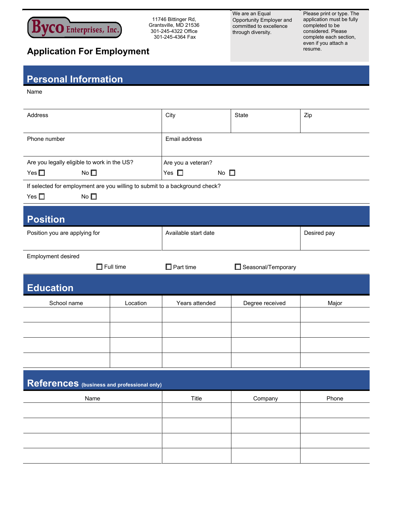

11746 Bittinger Rd, Grantsville, MD 21536 301-245-4322 Office 301-245-4364 Fax

We are an Equal Opportunity Employer and committed to excellence through diversity.

Please print or type. The application must be fully completed to be considered. Please complete each section, even if you attach a resume.

## **Application For Employment**

## **Personal Information**

Name

| Address                                                                                                      |                  | City                          | <b>State</b>       | Zip         |  |
|--------------------------------------------------------------------------------------------------------------|------------------|-------------------------------|--------------------|-------------|--|
| Phone number                                                                                                 |                  | Email address                 |                    |             |  |
| Are you legally eligible to work in the US?                                                                  |                  | Are you a veteran?            |                    |             |  |
| Yes $\square$<br>No $\square$                                                                                |                  | Yes $\square$<br>No $\square$ |                    |             |  |
|                                                                                                              |                  |                               |                    |             |  |
| If selected for employment are you willing to submit to a background check?<br>No $\square$<br>Yes $\square$ |                  |                               |                    |             |  |
| <b>Position</b>                                                                                              |                  |                               |                    |             |  |
| Position you are applying for                                                                                |                  | Available start date          |                    | Desired pay |  |
| Employment desired                                                                                           |                  |                               |                    |             |  |
|                                                                                                              | $\Box$ Full time | $\Box$ Part time              | Seasonal/Temporary |             |  |
| <b>Education</b>                                                                                             |                  |                               |                    |             |  |
| School name                                                                                                  | Location         | Years attended                | Degree received    | Major       |  |
|                                                                                                              |                  |                               |                    |             |  |
|                                                                                                              |                  |                               |                    |             |  |
|                                                                                                              |                  |                               |                    |             |  |
|                                                                                                              |                  |                               |                    |             |  |
| References (business and professional only)                                                                  |                  |                               |                    |             |  |
| Name                                                                                                         |                  | Title                         | Company            | Phone       |  |
|                                                                                                              |                  |                               |                    |             |  |
|                                                                                                              |                  |                               |                    |             |  |
|                                                                                                              |                  |                               |                    |             |  |
|                                                                                                              |                  |                               |                    |             |  |